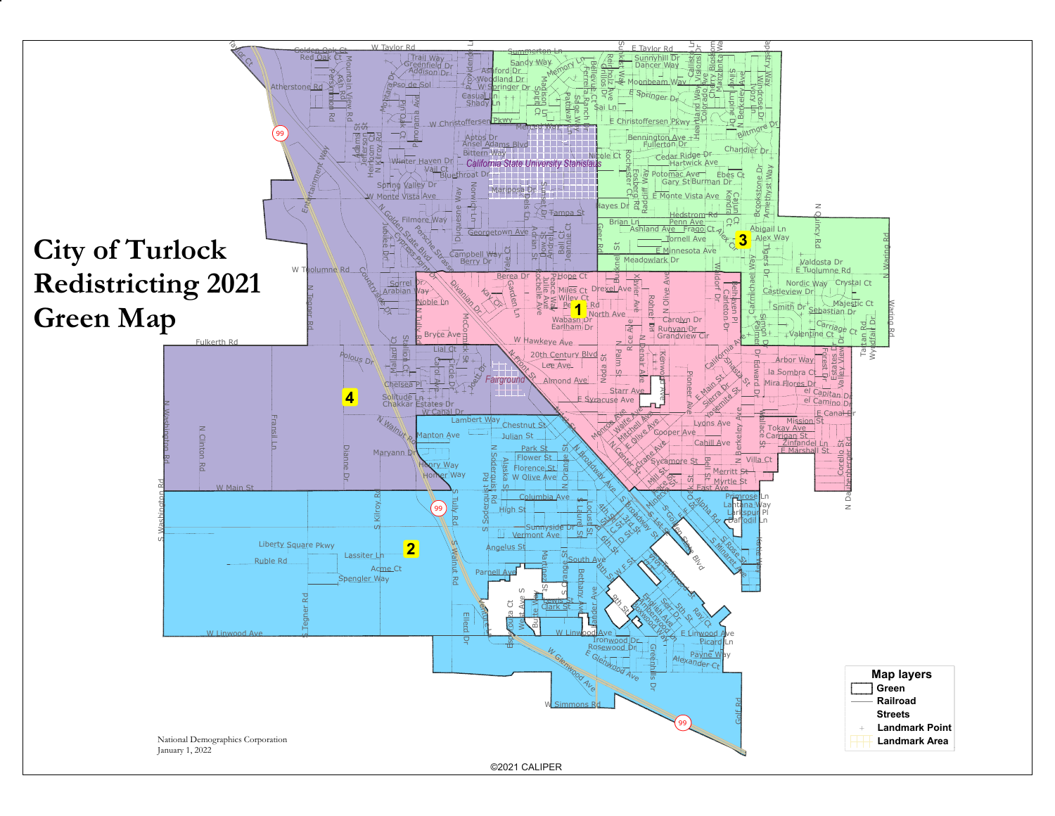